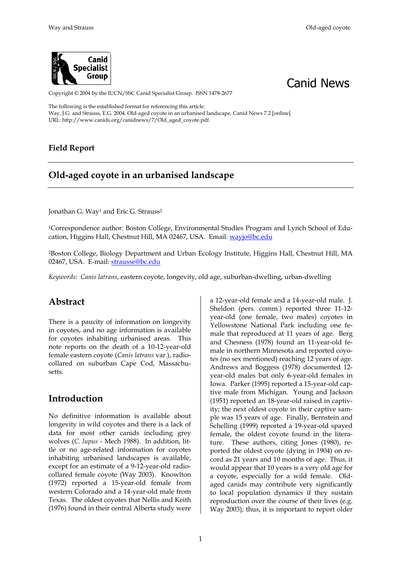



Copyright © 2004 by the IUCN/SSC Canid Specialist Group. ISSN 1478-2677

The following is the established format for referencing this article: Way, J.G. and Strauss, E.G. 2004. Old-aged coyote in an urbanised landscape. Canid News 7.2 [online] URL: http://www.canids.org/canidnews/7/Old\_aged\_coyote.pdf.

#### **Field Report**

### **Old-aged coyote in an urbanised landscape**

Jonathan G. Way<sup>1</sup> and Eric G. Strauss<sup>2</sup>

1Correspondence author: Boston College, Environmental Studies Program and Lynch School of Education, Higgins Hall, Chestnut Hill, MA 02467, USA. Email: wayjo@bc.edu

[2Boston College, Biology Department and Urban Ecology Institute, Higgins Hall, Chestnut Hill, MA](mailto:jhorton@duplitron.com)  [02467, USA. E-mail:](mailto:jhorton@duplitron.com) [strausse@bc.edu](mailto:strausse@bc.edu)

*Keywords*: *Canis latrans*, eastern coyote, longevity, old age, suburban-dwelling, urban-dwelling

#### **Abstract**

There is a paucity of information on longevity in coyotes, and no age information is available for coyotes inhabiting urbanised areas. This note reports on the death of a 10-12-year-old female eastern coyote (*Canis latrans* var.), radiocollared on suburban Cape Cod, Massachusetts.

#### **Introduction**

No definitive information is available about longevity in wild coyotes and there is a lack of data for most other canids including grey wolves (*C. lupus* - Mech 1988). In addition, little or no age-related information for coyotes inhabiting urbanised landscapes is available, except for an estimate of a 9-12-year-old radiocollared female coyote (Way 2003). Knowlton (1972) reported a 15-year-old female from western Colorado and a 14-year-old male from Texas. The oldest coyotes that Nellis and Keith (1976) found in their central Alberta study were

a 12-year-old female and a 14-year-old male. J. Sheldon (pers. comm.) reported three 11-12 year-old (one female, two males) coyotes in Yellowstone National Park including one female that reproduced at 11 years of age. Berg and Chesness (1978) found an 11-year-old female in northern Minnesota and reported coyotes (no sex mentioned) reaching 12 years of age. Andrews and Boggess (1978) documented 12 year-old males but only 6-year-old females in Iowa. Parker (1995) reported a 15-year-old captive male from Michigan. Young and Jackson (1951) reported an 18-year-old raised in captivity; the next oldest coyote in their captive sample was 15 years of age. Finally, Bernstein and Schelling (1999) reported a 19-year-old spayed female, the oldest coyote found in the literature. These authors, citing Jones (1980), reported the oldest coyote (dying in 1904) on record as 21 years and 10 months of age. Thus, it would appear that 10 years is a very old age for a coyote, especially for a wild female. Oldaged canids may contribute very significantly to local population dynamics if they sustain reproduction over the course of their lives (e.g. Way 2003); thus, it is important to report older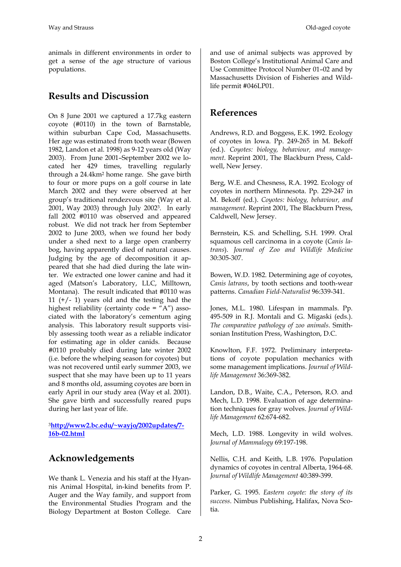animals in different environments in order to get a sense of the age structure of various populations.

# **Results and Discussion**

On 8 June 2001 we captured a 17.7kg eastern coyote (#0110) in the town of Barnstable, within suburban Cape Cod, Massachusetts. Her age was estimated from tooth wear (Bowen 1982, Landon et al. 1998) as 9-12 years old (Way 2003). From June 2001–September 2002 we located her 429 times, travelling regularly through a 24.4km2 home range. She gave birth to four or more pups on a golf course in late March 2002 and they were observed at her group's traditional rendezvous site (Way et al. 2001, Way 2003) through July 20023. In early fall 2002 #0110 was observed and appeared robust. We did not track her from September 2002 to June 2003, when we found her body under a shed next to a large open cranberry bog, having apparently died of natural causes. Judging by the age of decomposition it appeared that she had died during the late winter. We extracted one lower canine and had it aged (Matson's Laboratory, LLC, Milltown, Montana). The result indicated that #0110 was 11  $(+/- 1)$  years old and the testing had the highest reliability (certainty code = "A") associated with the laboratory's cementum aging analysis. This laboratory result supports visibly assessing tooth wear as a reliable indicator for estimating age in older canids. Because #0110 probably died during late winter 2002 (i.e. before the whelping season for coyotes) but was not recovered until early summer 2003, we suspect that she may have been up to 11 years and 8 months old, assuming coyotes are born in early April in our study area (Way et al. 2001). She gave birth and successfully reared pups during her last year of life.

<sup>3</sup>**[http://www2.bc.edu/~wayjo/2002updates/7-](http://www2.bc.edu/~wayjo/2002updates/7-16b-02.html) [16b-02.html](http://www2.bc.edu/~wayjo/2002updates/7-16b-02.html)**

### **Acknowledgements**

We thank L. Venezia and his staff at the Hyannis Animal Hospital, in-kind benefits from P. Auger and the Way family, and support from the Environmental Studies Program and the Biology Department at Boston College. Care

and use of animal subjects was approved by Boston College's Institutional Animal Care and Use Committee Protocol Number 01–02 and by Massachusetts Division of Fisheries and Wildlife permit #046LP01.

# **References**

Andrews, R.D. and Boggess, E.K. 1992. Ecology of coyotes in Iowa. Pp. 249-265 in M. Bekoff (ed.). *Coyotes: biology, behaviour, and management*. Reprint 2001, The Blackburn Press, Caldwell, New Jersey.

Berg, W.E. and Chesness, R.A. 1992. Ecology of coyotes in northern Minnesota. Pp. 229-247 in M. Bekoff (ed.). *Coyotes: biology, behaviour, and management*. Reprint 2001, The Blackburn Press, Caldwell, New Jersey.

Bernstein, K.S. and Schelling, S.H. 1999. Oral squamous cell carcinoma in a coyote (*Canis latrans*). *Journal of Zoo and Wildlife Medicine* 30:305-307.

Bowen, W.D. 1982. Determining age of coyotes, *Canis latrans*, by tooth sections and tooth-wear patterns. *Canadian Field-Naturalist* 96:339-341.

Jones, M.L. 1980. Lifespan in mammals. Pp. 495-509 in R.J. Montali and G. Migaski (eds.). *The comparative pathology of zoo animals*. Smithsonian Institution Press, Washington, D.C.

Knowlton, F.F. 1972. Preliminary interpretations of coyote population mechanics with some management implications. *Journal of Wildlife Management* 36:369-382.

Landon, D.B., Waite, C.A., Peterson, R.O. and Mech, L.D. 1998. Evaluation of age determination techniques for gray wolves. *Journal of Wildlife Management* 62:674-682.

Mech, L.D. 1988. Longevity in wild wolves. *Journal of Mammalogy* 69:197-198.

Nellis, C.H. and Keith, L.B. 1976. Population dynamics of coyotes in central Alberta, 1964-68. *Journal of Wildlife Management* 40:389-399.

Parker, G. 1995. *Eastern coyote: the story of its success*. Nimbus Publishing, Halifax, Nova Scotia.